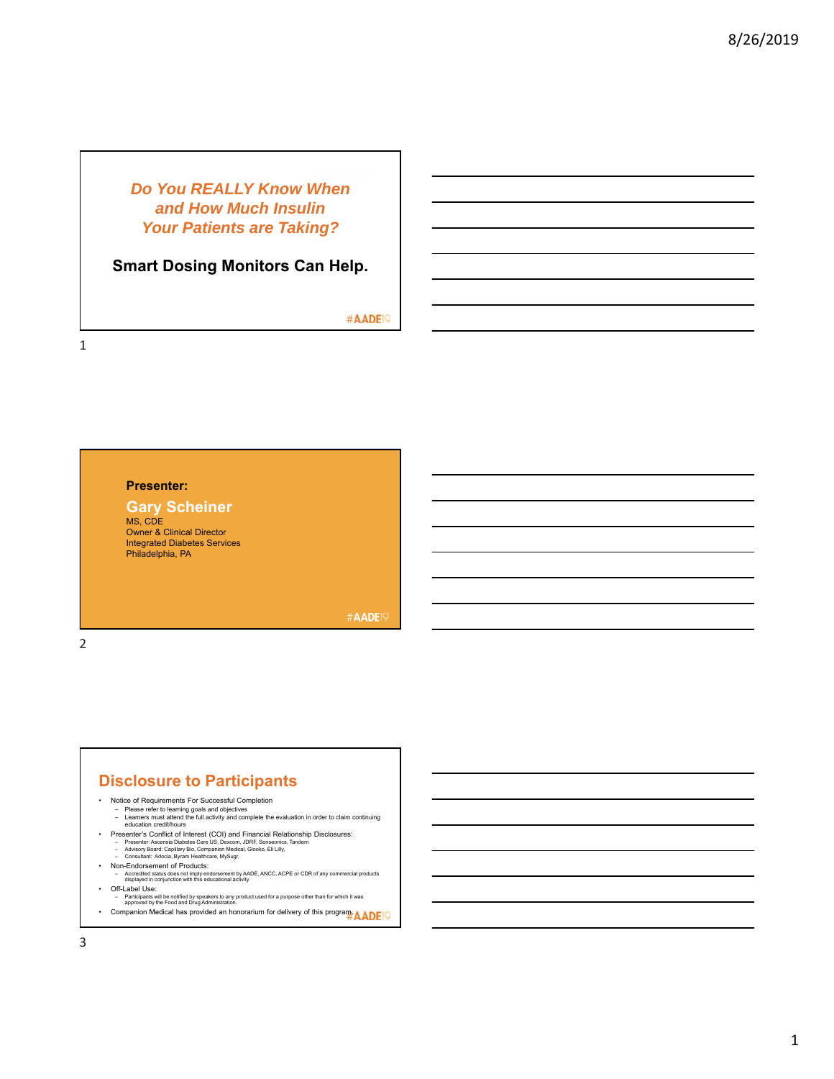## *Do You REALLY Know When and How Much Insulin Your Patients are Taking?*

## **Smart Dosing Monitors Can Help.**

#AADE<sup>19</sup>

1

2

### **Presenter:**

#### **Gary Scheiner**

MS, CDE Owner & Clinical Director Integrated Diabetes Services Philadelphia, PA

**#AADE19** 

#### **Disclosure to Participants**

- Notice of Requirements For Successful Completion
	- Please refer to learning goals and objectives Learners must attend the full activity and complete the evaluation in order to claim continuing education credit/hours
	-
	-
- Presenter's Conflict of Interest (COI) and Financial Relationship Disclosures:<br>- Presenter: Ascensia Diabetes Care US, Dexcom, JDRF, Senseonics, Tandem<br>- Advisory Board: Capillary Bio, Companion Medical, Glooko, Eli Lill
- 
- 
- Non-Endorsement of Products: Accredited status does not imply endorsement by AADE, ANCC, ACPE or CDR of any commercial products displayed in conjunction with this educational activity
- Off-Label Use:
	- Participants will be notified by speakers to any product used for a purpose other than for which it was approved by the Food and Drug Administration.
- Companion Medical has provided an honorarium for delivery of this program. AADE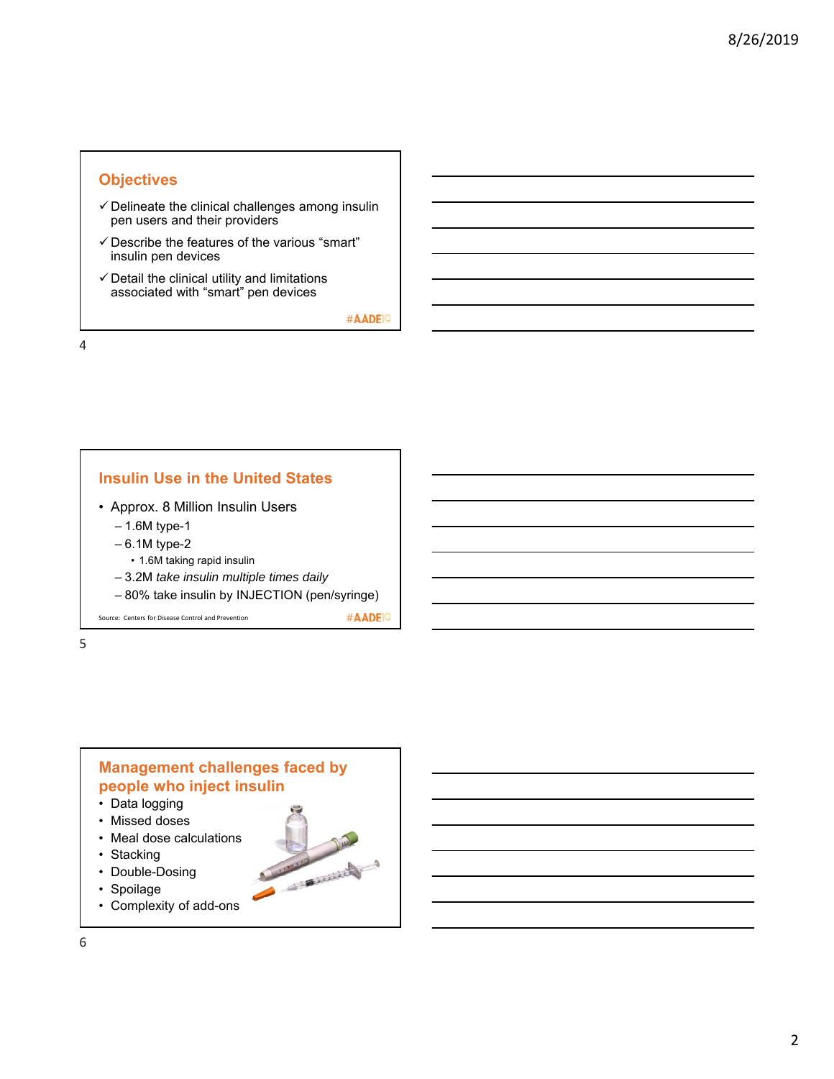### **Objectives**

- $\checkmark$  Delineate the clinical challenges among insulin pen users and their providers
- $\checkmark$  Describe the features of the various "smart" insulin pen devices
- $\checkmark$  Detail the clinical utility and limitations associated with "smart" pen devices

#AADE<sup>19</sup>

#AADE<sup>19</sup>

Comment of Congress

4

# **Insulin Use in the United States**

- Approx. 8 Million Insulin Users
	- 1.6M type-1
	- 6.1M type-2
	- 1.6M taking rapid insulin
	- 3.2M *take insulin multiple times daily*
	- 80% take insulin by INJECTION (pen/syringe)

Source: Centers for Disease Control and Prevention

5

### **Management challenges faced by people who inject insulin**

- Data logging
- Missed doses
- Meal dose calculations
- Stacking
- Double-Dosing
- Spoilage
- Complexity of add-ons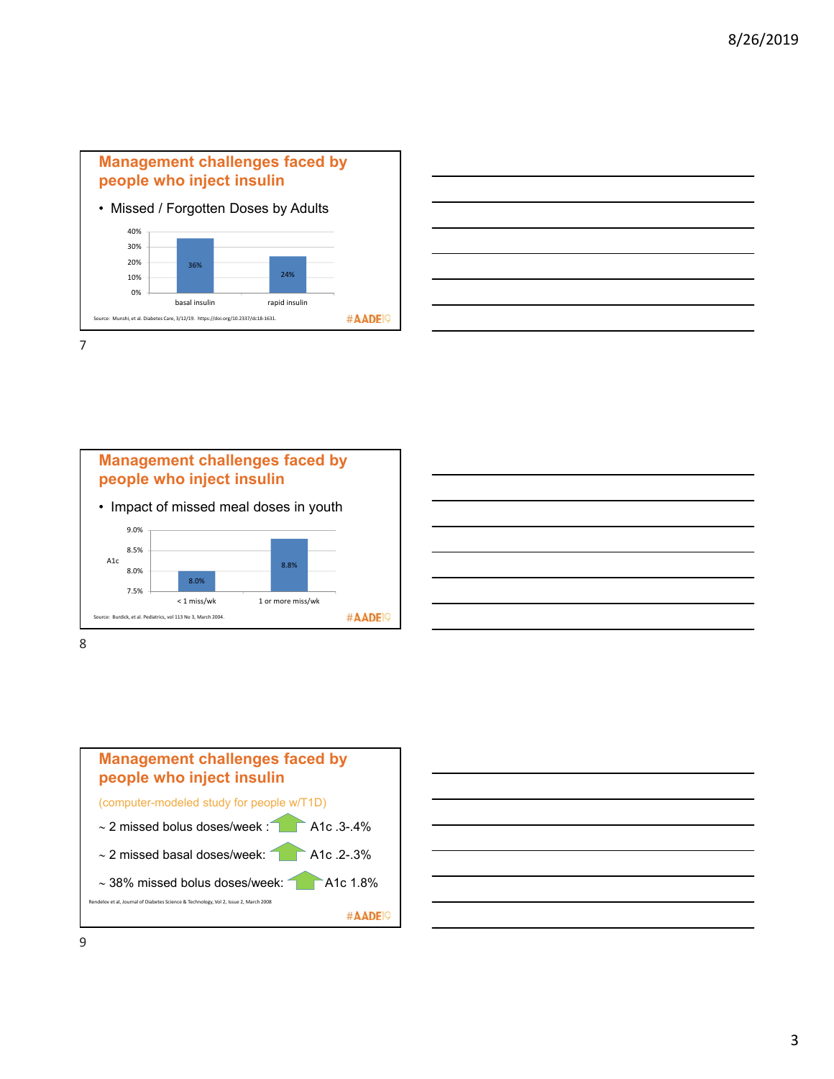







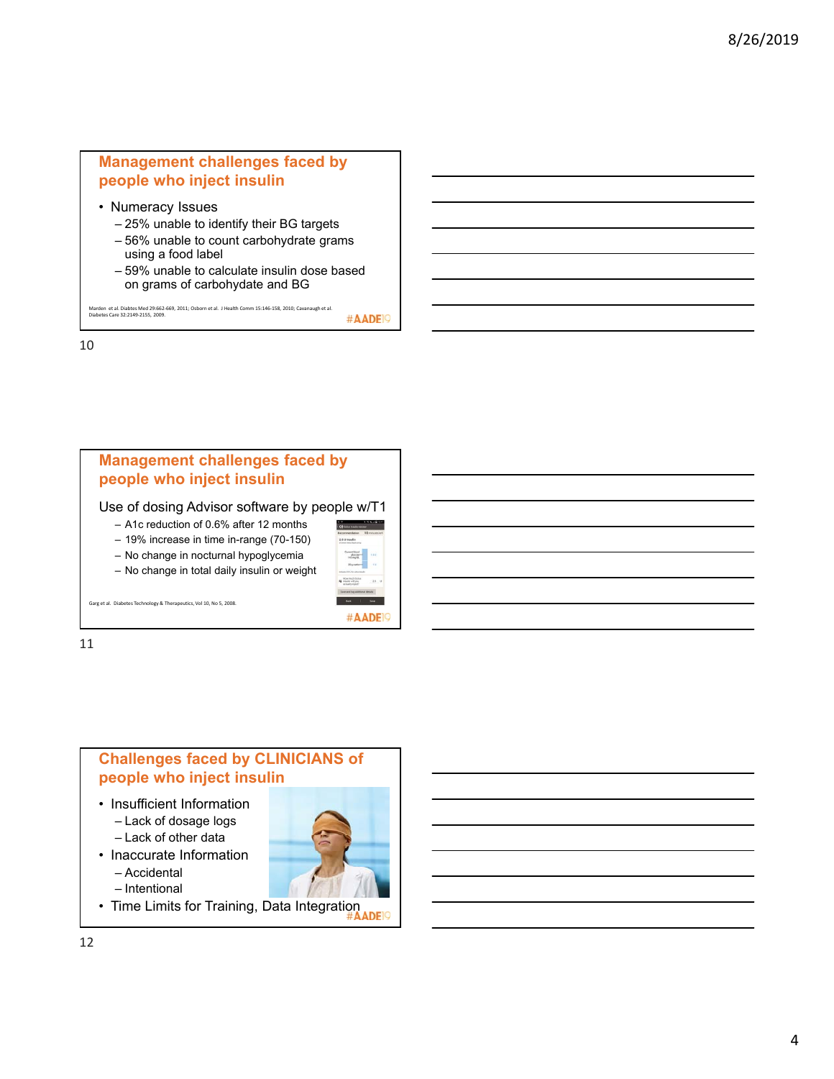## **Management challenges faced by people who inject insulin**

- Numeracy Issues
	- 25% unable to identify their BG targets
	- 56% unable to count carbohydrate grams using a food label
	- 59% unable to calculate insulin dose based on grams of carbohydate and BG

Marden et al. Diabtes Med 29:662-669, 2011; Osborn et al. J Health Comm 15:146-158, 2010; Cavanaugh et al.<br>Diabetes Care 32:2149-2155, 2009.

#AADE<sup>19</sup>

10

## **Management challenges faced by people who inject insulin** Use of dosing Advisor software by people w/T1 – A1c reduction of 0.6% after 12 months – 19% increase in time in-range (70-150) – No change in nocturnal hypoglycemia Servert blood<br>glacese-<br>145 mg/dl – No change in total daily insulin or weight Garg et al. Diabetes Technology & Therapeutics, Vol 10, No 5, 2008. #AADE<sup>19</sup> 11

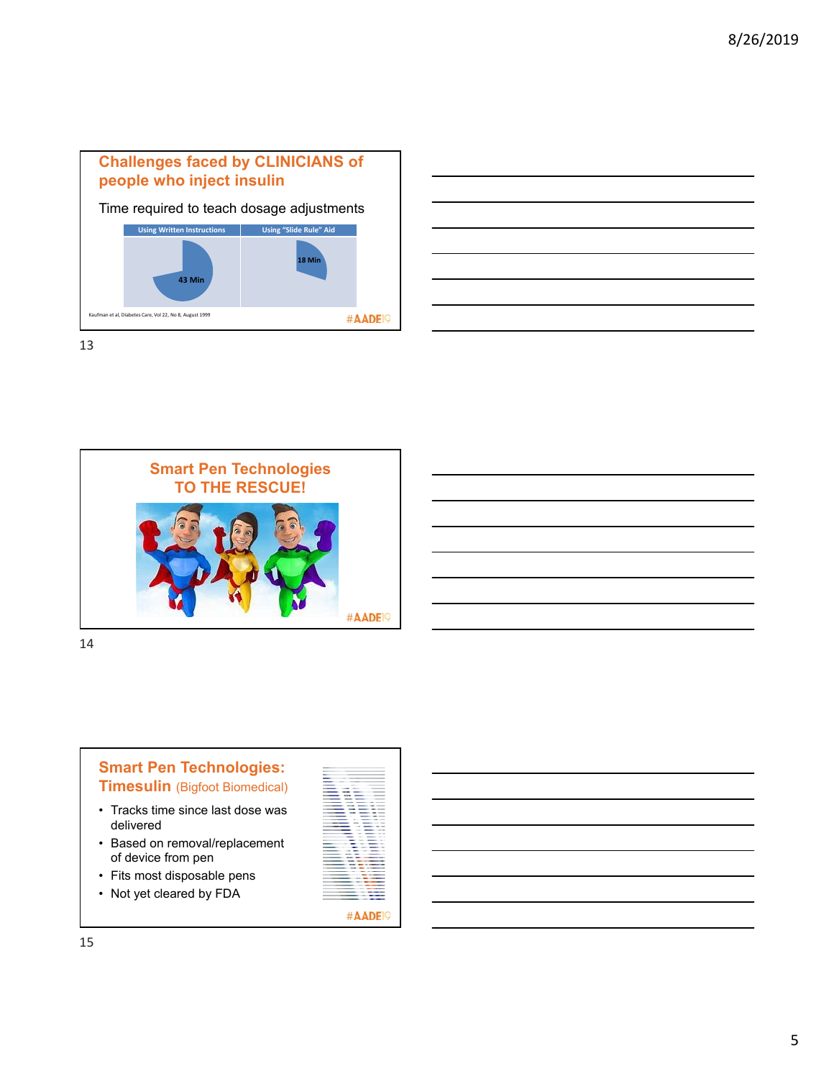



13





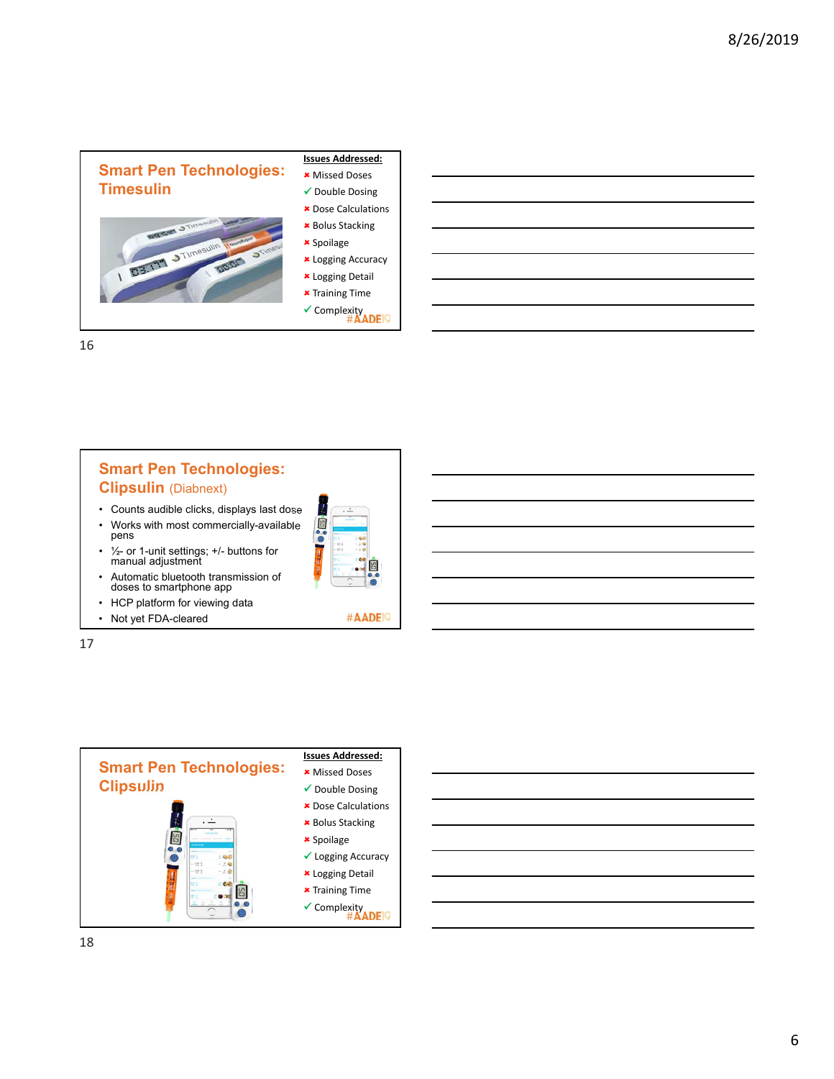

16

# **Smart Pen Technologies: Clipsulin** (Diabnext)

- Counts audible clicks, displays last dose
- Works with most commercially-available pens
- ½- or 1-unit settings; +/- buttons for manual adjustment
- Automatic bluetooth transmission of doses to smartphone app
- HCP platform for viewing data
- Not yet FDA-cleared

17





#AADE<sup>19</sup>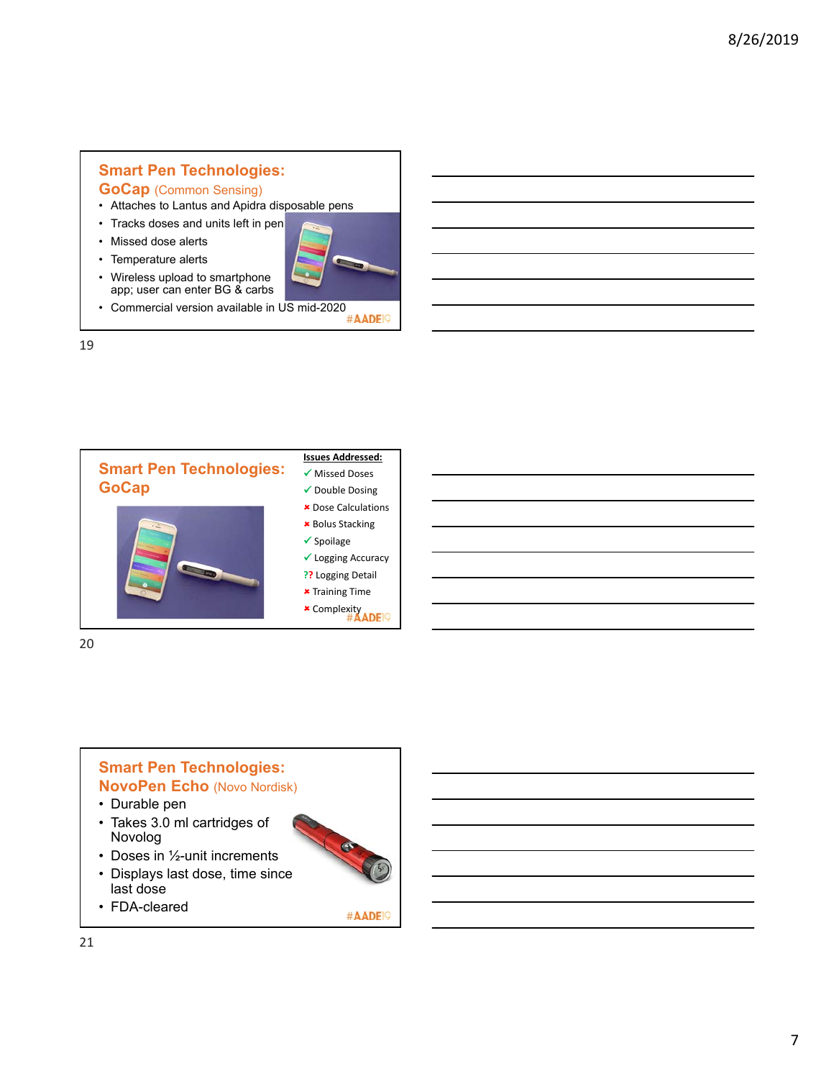# **Smart Pen Technologies:**

## **GoCap** (Common Sensing)

- Attaches to Lantus and Apidra disposable pens
- Tracks doses and units left in pen

• Wireless upload to smartphone app; user can enter BG & carbs

- Missed dose alerts
- Temperature alerts



• Commercial version available in US mid-2020<br>  $\#$ AADEP

19



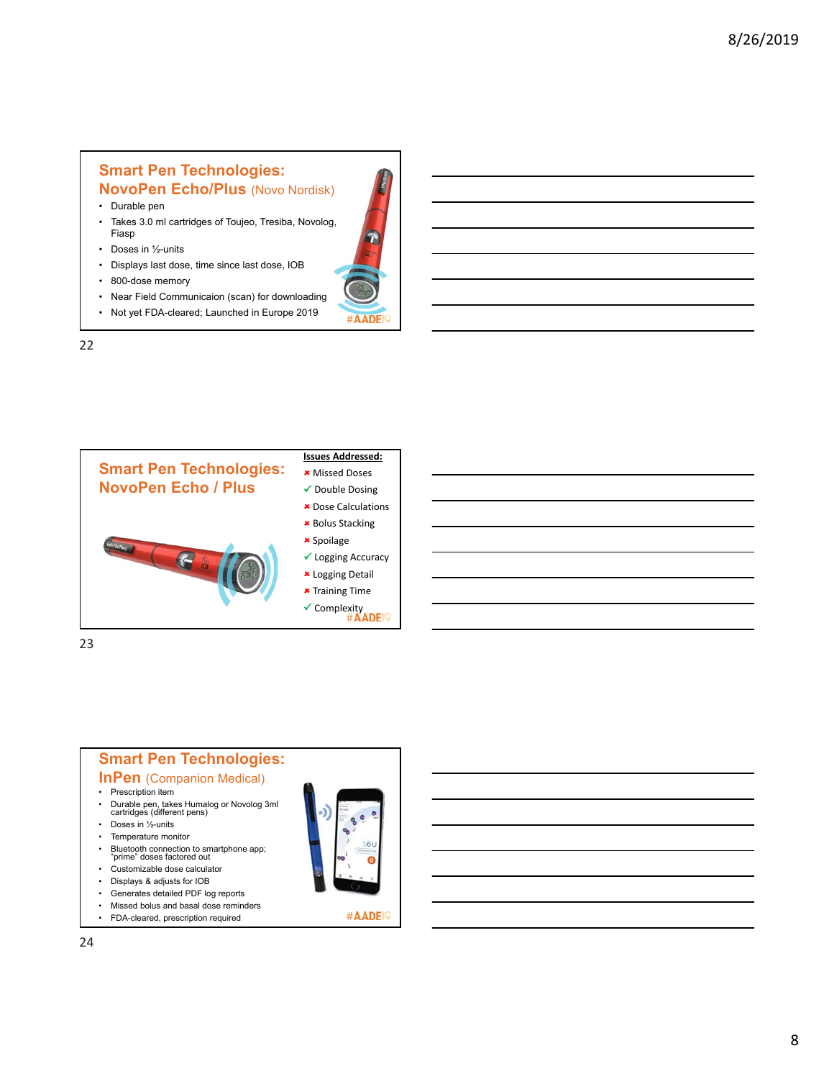## **Smart Pen Technologies: NovoPen Echo/Plus** (Novo Nordisk)

- Durable pen
- Takes 3.0 ml cartridges of Toujeo, Tresiba, Novolog, Fiasp
- Doses in 1/2-units
- Displays last dose, time since last dose, IOB
- 800-dose memory
- Near Field Communicaion (scan) for downloading

#AADE

• Not yet FDA-cleared; Launched in Europe 2019



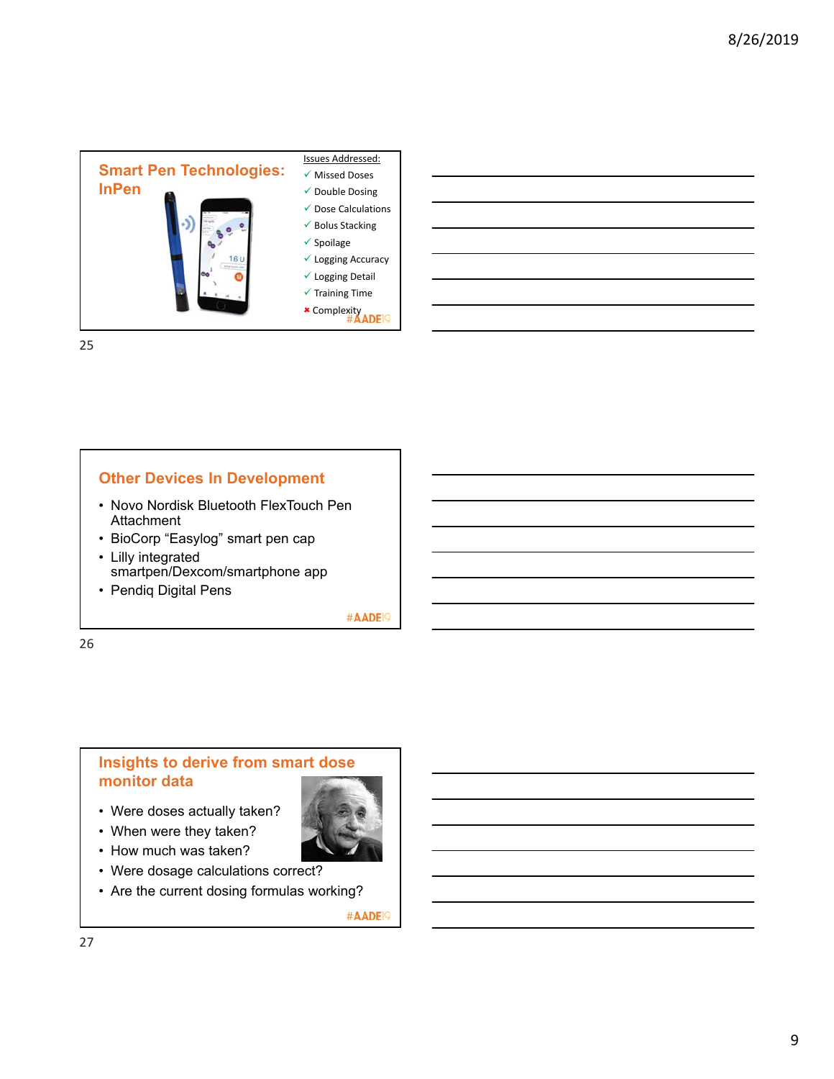

25

## **Other Devices In Development**

- Novo Nordisk Bluetooth FlexTouch Pen **Attachment**
- BioCorp "Easylog" smart pen cap • Lilly integrated
- smartpen/Dexcom/smartphone app
- Pendiq Digital Pens

#AADE<sup>19</sup>

26

### **Insights to derive from smart dose monitor data**

- Were doses actually taken?
- When were they taken?
- How much was taken?
- Were dosage calculations correct?
- Are the current dosing formulas working?

#AADE<sup>19</sup>